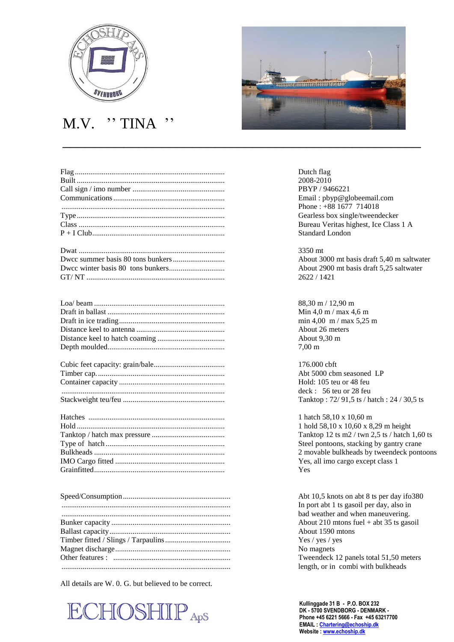

## M.V. '' TINA ''

| Dutch flag        |
|-------------------|
| 2008-2010         |
| <b>PBYP</b> / 946 |
| Email: $pby$      |
| Phone: $+88$      |
| Gearless bo:      |
| Bureau Veri       |
| Standard Lo       |
| 3350 mt           |
| About 3000        |
| About 2900        |
| 2622/1421         |

| 88.30 1          |
|------------------|
| Min 4.           |
| min 4,           |
| About            |
| About            |
| $7.00 \text{ m}$ |
| 176.00           |
| Abt $50$         |
| Hold:            |
| deck:            |

| $1 \; \text{h}$ |
|-----------------|
| 1 <sub>h</sub>  |
| Tan             |
| Stee            |
| 2 <sub>m</sub>  |
| Yes             |
| Yes             |

All details are W. 0. G. but believed to be correct.





PBYP / 9466221 Email: pbyp@globeemail.com Phone : +88 1677 714018 Gearless box single/tweendecker Bureau Veritas highest, Ice Class 1 A Standard London

About 3000 mt basis draft 5,40 m saltwater. About 2900 mt basis draft 5,25 saltwater

 $88,30 \text{ m} / 12,90 \text{ m}$ Min  $4.0 \text{ m}$  / max  $4.6 \text{ m}$  $min\ 4,00\ \text{m}$  /  $max\ 5,25\ \text{m}$ About 26 meters About 9,30 m

 $176.000$  cbft Abt 5000 cbm seasoned LP Hold: 105 teu or 48 feu deck : 56 teu or 28 feu Stackweight teu/feu ..................................................... Tanktop : 72/ 91,5 ts / hatch : 24 / 30,5 ts

> 1 hatch 58,10 x 10,60 m 1 hold 58,10 x 10,60 x 8,29 m height Tanktop 12 ts m2 / twn 2,5 ts / hatch 1,60 ts Steel pontoons, stacking by gantry crane 2 movable bulkheads by tweendeck pontoons Yes, all imo cargo except class 1

Abt 10,5 knots on abt 8 ts per day ifo380 In port abt 1 ts gasoil per day, also in bad weather and when maneuvering. About 210 mtons fuel + abt 35 ts gasoil About 1590 mtons Yes / yes / yes No magnets. Tweendeck 12 panels total 51,50 meters length, or in combi with bulkheads

**Kullinggade 31 B - P.O. BOX 232 DK - 5700 SVENDBORG - DENMARK - Phone +45 6221 5666 - Fax +45 63217700 EMAIL [: Chartering@echoship.dk](mailto:Chartering@echoship.dk) Website [: www.echoship.dk](http://www.echoship.dk/)**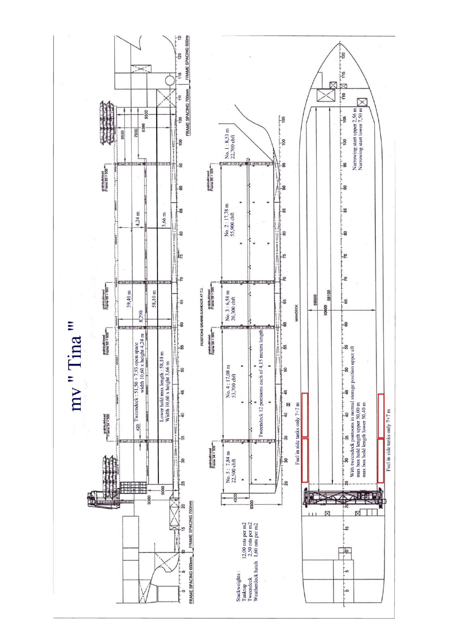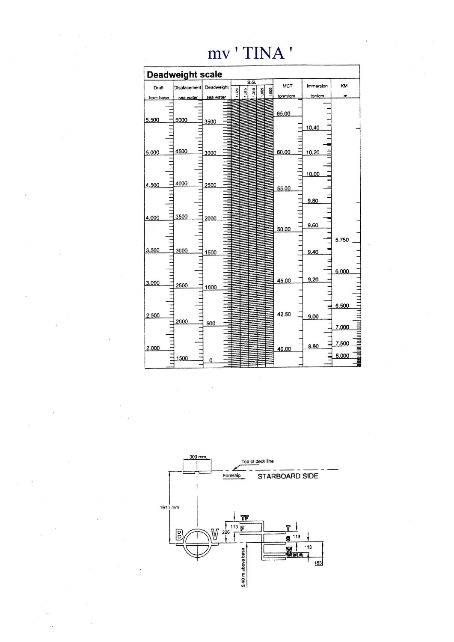| Draft<br>from base |                                  |      |                                              | Deadweight                       |                                                   | S.G.                                 |  |      |            |     | <b>MCT</b> |                                                             | Immersion |                                                                 | KM             |                                  |
|--------------------|----------------------------------|------|----------------------------------------------|----------------------------------|---------------------------------------------------|--------------------------------------|--|------|------------|-----|------------|-------------------------------------------------------------|-----------|-----------------------------------------------------------------|----------------|----------------------------------|
|                    |                                  |      |                                              |                                  |                                                   |                                      |  |      |            |     | tonm/cm    |                                                             | ton/cm    |                                                                 | $\mathfrak{m}$ |                                  |
|                    |                                  |      |                                              |                                  |                                                   |                                      |  |      |            |     |            |                                                             |           |                                                                 |                |                                  |
|                    |                                  |      |                                              |                                  |                                                   |                                      |  |      |            |     |            |                                                             |           |                                                                 |                |                                  |
|                    |                                  |      |                                              |                                  |                                                   |                                      |  |      |            |     |            |                                                             |           |                                                                 |                |                                  |
|                    |                                  |      |                                              |                                  |                                                   |                                      |  |      |            |     |            |                                                             |           |                                                                 |                |                                  |
|                    |                                  |      |                                              |                                  |                                                   |                                      |  |      |            |     |            |                                                             |           |                                                                 |                |                                  |
|                    |                                  |      |                                              |                                  |                                                   |                                      |  |      |            |     |            |                                                             |           |                                                                 |                |                                  |
|                    |                                  |      |                                              |                                  |                                                   |                                      |  |      |            |     |            |                                                             |           |                                                                 |                |                                  |
|                    |                                  | 4500 |                                              |                                  |                                                   |                                      |  |      |            |     |            |                                                             |           |                                                                 |                |                                  |
|                    |                                  |      |                                              |                                  |                                                   |                                      |  |      |            |     |            |                                                             |           |                                                                 |                |                                  |
|                    |                                  |      |                                              |                                  |                                                   |                                      |  |      |            |     |            |                                                             |           |                                                                 |                |                                  |
|                    |                                  |      |                                              |                                  |                                                   |                                      |  |      |            |     |            |                                                             |           |                                                                 |                |                                  |
|                    |                                  |      |                                              |                                  |                                                   |                                      |  |      |            |     |            |                                                             |           |                                                                 |                |                                  |
| 4.500              |                                  |      |                                              |                                  |                                                   |                                      |  |      |            |     |            |                                                             |           |                                                                 |                |                                  |
|                    |                                  |      |                                              |                                  |                                                   |                                      |  |      |            |     |            |                                                             |           |                                                                 |                |                                  |
|                    |                                  |      |                                              |                                  |                                                   |                                      |  |      |            |     |            |                                                             |           |                                                                 |                |                                  |
|                    |                                  |      |                                              |                                  |                                                   |                                      |  |      |            |     |            |                                                             |           |                                                                 |                |                                  |
|                    |                                  |      |                                              |                                  |                                                   |                                      |  |      |            |     |            |                                                             |           |                                                                 |                |                                  |
| 4.000              |                                  |      |                                              |                                  |                                                   |                                      |  |      |            |     |            |                                                             |           |                                                                 |                |                                  |
|                    |                                  |      |                                              |                                  |                                                   |                                      |  |      |            |     |            |                                                             |           |                                                                 |                |                                  |
|                    |                                  |      |                                              |                                  |                                                   |                                      |  |      |            |     |            |                                                             |           |                                                                 |                |                                  |
|                    |                                  |      |                                              |                                  |                                                   |                                      |  |      |            |     |            |                                                             |           |                                                                 |                |                                  |
|                    |                                  |      |                                              |                                  |                                                   |                                      |  |      |            |     |            |                                                             |           |                                                                 |                |                                  |
| 3.500              |                                  | 3000 |                                              |                                  |                                                   |                                      |  |      |            |     |            |                                                             |           |                                                                 |                |                                  |
|                    |                                  |      |                                              |                                  |                                                   |                                      |  |      |            |     |            |                                                             |           |                                                                 |                |                                  |
|                    |                                  |      |                                              |                                  |                                                   |                                      |  |      |            |     |            |                                                             |           |                                                                 |                |                                  |
|                    |                                  |      |                                              |                                  |                                                   |                                      |  |      |            |     |            |                                                             |           |                                                                 |                |                                  |
|                    |                                  |      |                                              |                                  |                                                   |                                      |  |      |            |     |            |                                                             |           |                                                                 |                |                                  |
| 3.000              |                                  |      |                                              |                                  |                                                   |                                      |  |      |            |     |            |                                                             |           |                                                                 |                |                                  |
|                    |                                  |      |                                              |                                  |                                                   |                                      |  |      |            |     |            |                                                             |           |                                                                 |                |                                  |
|                    |                                  |      |                                              |                                  |                                                   |                                      |  |      |            |     |            |                                                             |           |                                                                 |                |                                  |
|                    |                                  |      |                                              |                                  |                                                   |                                      |  |      |            |     |            |                                                             |           |                                                                 |                |                                  |
|                    |                                  |      |                                              |                                  |                                                   |                                      |  |      |            |     |            |                                                             |           |                                                                 |                |                                  |
|                    |                                  |      |                                              |                                  |                                                   |                                      |  |      |            |     |            |                                                             | 9.00      |                                                                 |                |                                  |
|                    |                                  |      |                                              | 500                              |                                                   |                                      |  |      |            |     |            |                                                             |           |                                                                 |                |                                  |
|                    |                                  |      |                                              |                                  |                                                   |                                      |  |      |            |     |            |                                                             |           |                                                                 |                |                                  |
|                    |                                  |      |                                              |                                  |                                                   |                                      |  |      |            |     |            |                                                             |           |                                                                 |                |                                  |
|                    |                                  |      |                                              |                                  |                                                   |                                      |  |      |            |     |            |                                                             |           |                                                                 | 7.500          |                                  |
|                    |                                  |      |                                              |                                  |                                                   |                                      |  |      |            |     |            |                                                             |           |                                                                 |                |                                  |
|                    |                                  |      |                                              |                                  |                                                   |                                      |  |      |            |     |            |                                                             |           |                                                                 | 8.000          |                                  |
|                    |                                  |      |                                              |                                  |                                                   |                                      |  |      |            |     |            |                                                             |           |                                                                 |                |                                  |
|                    | 5.500<br>5.000<br>2.500<br>2.000 |      | 5000<br>4000<br>3500<br>2500<br>2000<br>1500 | <b>Displacement</b><br>sea water | 3500<br>3000<br>2500<br>2000<br>1500<br>1000<br>0 | <b>Deadweight scale</b><br>sea water |  | 0201 | 215<br>OID | 800 | 8          | 65.00<br>60.00<br>55.00<br>50.00<br>45.00<br>42.50<br>40.00 |           | 10.40<br>10,20<br>10.00<br>9.80<br>9.60<br>9.40<br>9,20<br>8.80 |                | 5.750<br>6.000<br>6.500<br>7.000 |

## mv'TINA'

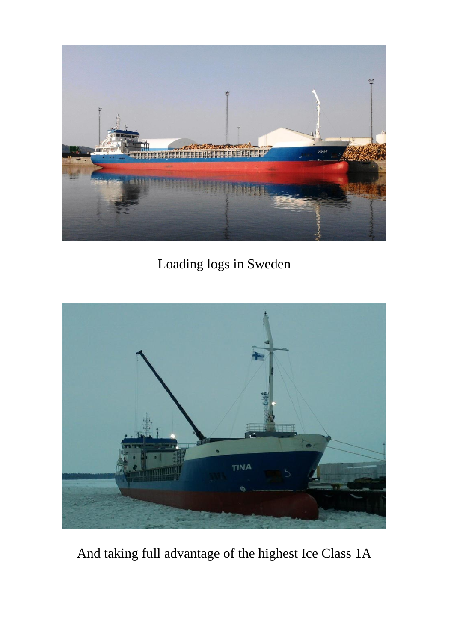

Loading logs in Sweden



And taking full advantage of the highest Ice Class 1A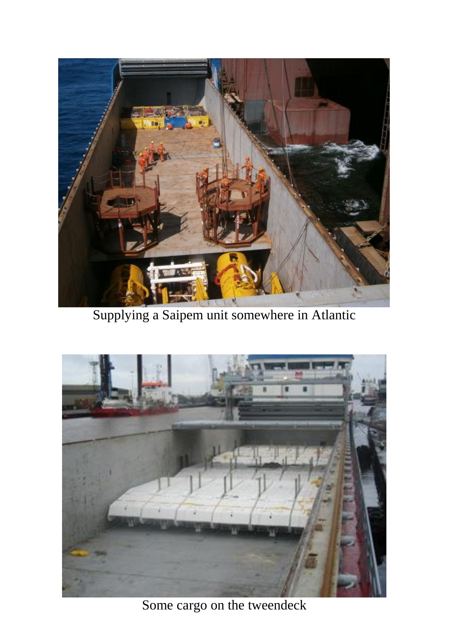

Supplying a Saipem unit somewhere in Atlantic



Some cargo on the tweendeck